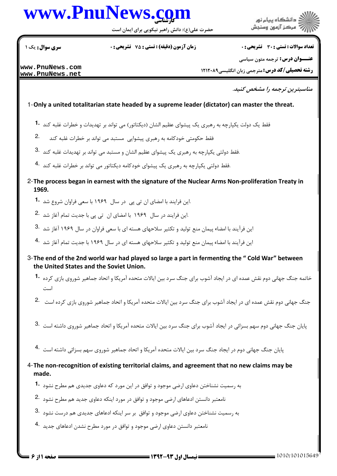# www.PnuNews.co

حضرت علی(ع): دانش راهبر نیکویی برای ایمان است

سری سوال : یک ۱

**زمان آزمون (دقیقه) : تستی : 75 ٪ تشریحی : 0** 

**تعداد سوالات : تستي : 30 ٪ تشريحي : 0** 

: دانشگاه پیام نور مركز آزمون وسنجش

**عنــوان درس:** ترجمه متون سیاسی

www.PnuNews.com www.PnuNews.net

**رشته تحصیلی/کد درس: مترجمی زبان انگلیسی1۲۱۲۰۸۹** 

مناسبترین ترجمه را مشخص کنید.

### 1-Only a united totalitarian state headed by a supreme leader (dictator) can master the threat.

- فقط یک دولت یکپارچه به رهبری یک پیشوای عظیم الشان (دیکتاتور) می تواند بر تهدیدات و خطرات غلبه کند 1۰
- $2.$ فقط حکومتی خودکامه به رهبری پیشوایی مستبد می تواند بر خطرات غلبه کند
- .فقط دولتی یکپارچه به رهبری یک پیشوای عظیم الشان و مستبد می تواند بر تهدیدات غلبه کند 3.
- فقط دولتی یکپارچه به رهبری یک پیشوای خودکامه دیکتاتور می تواند بر خطرات غلبه کند 4.
- 2- The process began in earnest with the signature of the Nuclear Arms Non-proliferation Treaty in 1969.
	- .این فرایند با امضای ان تی پی در سال ۱۹۶۹ با سعی فراوان شروع شد **1۰**
	- ۔<br>این فرایند در سال ۱۹۶۹ با امضای ان تی یی با جدیت تمام آغا; شد <sup>2</sup>۰
	- این فرآیند با امضاء پیمان منع تولید و تکثیر سلاحهای هسته ای با سعی فراوان در سال ۱۹۶۹ آغاز شد <sup>.3</sup>
	- این فرآیند با امضاء پیمان منع تولید و تکثیر سلاحهای هسته ای در سال ۱۹۶۹ با جدیت تمام آغاز شد <sup>۹۰</sup>۰
- 3-The end of the 2nd world war had played so large a part in fermenting the "Cold War" between the United States and the Soviet Union.
	- خاتمه جنگ جهانی دوم نقش عمده ای در ایجاد آشوب برای جنگ سرد بین ایالات متحده آمریکا و اتحاد جماهیر شوروی بازی کرده **1**۰ است
	- جنگ جهانی دوم نقش عمده ای در ایجاد آشوب برای جنگ سرد بین ایالات متحده آمریکا و اتحاد جماهیر شوروی بازی کرده است <sup>2</sup>۰
	- پایان جنگ جهانی دوم سهم بسزائی در ایجاد آشوب برای جنگ سرد بین ایالات متحده آمریکا و اتحاد جماهیر شوروی داشته است  $\cdot$ 3
	- پایان جنگ جهانی دوم در ایجاد جنگ سرد بین ایالات متحده آمریکا و اتحاد جماهیر شوروی سهم بسزائے ،داشته است <sup>.4</sup>

4-The non-recognition of existing territorial claims, and agreement that no new claims may be made.

- به رسمیت نشناختن دعاوی ارضی موجود و توافق در این مورد که دعاوی جدیدی هم مطرح نشود **1**۰
- نامعتبر دانستن ادعاهای ارضی موجود و توافق در مورد اینکه دعاوی جدید هم مطرح نشود 2.
- به رسمیت نشناختن دعاوی ارضی موجود و توافق بر سر اینکه ادعاهای جدیدی هم درست نشود 3.
- نامعتبر دانستن دعاوى ارضى موجود و توافق در مورد مطرح نشدن ادعاهاى جديد 4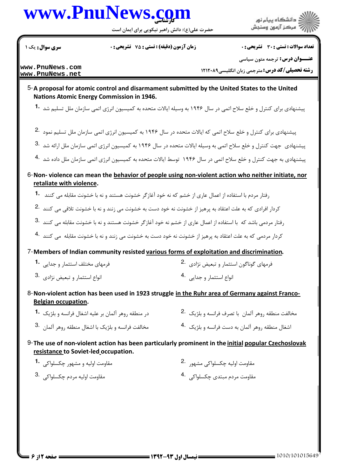## www.PnuNews.co

حضرت علی(ع): دانش راهبر نیکویی برای ایمان است

دانشگاه پيام نور مرڪز آزمون وسنڊش

سری سوال: یک ۱

**زمان آزمون (دقیقه) : تستی : 75 تشریحی: 0** 

تعداد سوالات : تستى : 30 - تشريحي : 0 **عنــوان درس:** ترجمه متون سیاسی

www.PnuNews.com www.PnuNews.net

**رشته تحصیلی/کد درس: مترجمی زبان انگلیسی1۲۱۲۰۸۹** 

### 5-A proposal for atomic control and disarmament submitted by the United States to the United **Nations Atomic Energy Commission in 1946.**

پیشنهادی برای کنترل و خلع سلاح اتمی در سال ۱۹۴۶ به وسیله ایالات متحده به کمیسیون انرژی اتمی سازمان ملل تسلیم شد **1۰** 

- پیشنهادی برای کنترل و خلع سلاح اتمی که ایالات متحده در سال ۱۹۴۶ به کمیسیون انرژی اتمی سازمان ملل تسلیم نمود 2.
- پیشنهادی جهت کنترل و خلع سلاح اتمی به وسیله ایالات متحده در سال ۱۹۴۶ به کمیسیون انرژی اتمی سازمان ملل ارائه شد <sup>.3</sup>
- پیشنهادی به جهت کنترل و خلع سلاح اتمی در سال ۱۹۴۶ توسط ایالات متحده به کمیسیون انرژی اتمی سازمان ملل داده شد <sup>4</sup>۰
- 6-Non-violence can mean the behavior of people using non-violent action who neither initiate, nor retaliate with violence.
	- رفتار مردم با استفاده از اعمال عاری از خشم که نه خود آغازگر خشونت هستند و نه با خشونت مقابله مـ ً کنند . **1**
	- کردار افرادی که به علت اعتقاد به پرهیز از خشونت نه خود دست به خشونت می زنند و نه با خشونت تلافی می کنند <sup>2.</sup>
	- رفتار مردمی باشد که با استفاده از اعمال عاری از خشم نه خود آغازگر خشونت هستند و نه با خشونت مقابله می کنند <sup>.3</sup>
	- کردار مردمی که به علت اعتقاد به پرهیز از خشونت نه خود دست به خشونت می زنند و نه با خشونت مقابله می کنند 4۰

7-Members of Indian community resisted various forms of exploitation and discrimination.

| ِ فرمهای مختلف استثمار و جدایی <b>1</b> ۰ | فرمهای گوناگون استثمار و تبعیض نژادی $\,$ $\,$ |
|-------------------------------------------|------------------------------------------------|
| انواع استثمار و تبعيض نژادى .3            | انواع استثمار و جدایی <sup>.4</sup>            |

8-Non-violent action has been used in 1923 struggle in the Ruhr area of Germany against Franco-**Belgian occupation.** 

| در منطقه روهر آلمان بر علیه اشغال فرانسه و بلژیک  •            | مخالفت منطقه روهر آلمان  با تصرف فرانسه و بلژيک  .2         |  |
|----------------------------------------------------------------|-------------------------------------------------------------|--|
| مخالفت فرانسه و بلژیک با اشغال منطقه روهر آلمان <sup>3</sup> ۰ | اشغال منطقه روهر آلمان به دست فرانسه و بلژیک <sup>4</sup> ۰ |  |

9- The use of non-violent action has been particularly prominent in the initial popular Czechoslovak resistance to Soviet-led occupation.

| مقاومت اولیه و مشهور چکسلواکی  • <b>1</b> | مقاومت اوليه چکسلواکی مشهور <sup>.2</sup> |
|-------------------------------------------|-------------------------------------------|
| مقاومت اوليه مردم چكسلواكى <sup>3</sup> ۰ | مقاومت مردم مبتدى چكسلواكى <sup>.4</sup>  |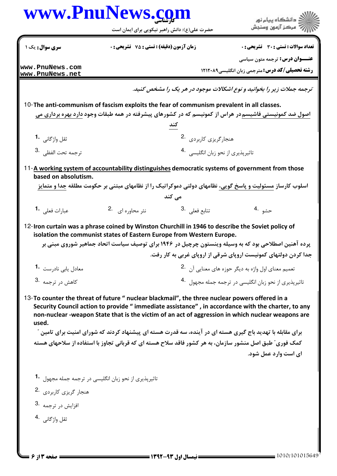### www.PnuNews.com ر<br>راڪ دانشڪاه پيام نور<br>راڪ مرڪز آزمون وسنڊش حضرت علی(ع): دانش راهبر نیکویی برای ایمان است سری سوال: یک ۱ تعداد سوالات : تستى : 30 - تشريحي : 0 **زمان آزمون (دقیقه) : تستی : 75 ٪ تشریحی : 0 عنـــوان درس:** ترجمه متون سیاسی www.PnuNews.com **رشته تحصیلی/کد درس: مترجمی زبان انگلیسی1۲۱۲۰۸۹** www.PnuNews.net ترجمه جملات زیر را بخوانید و نوع اشکالات موجود در هر یک را مشخص کنید. 10-The anti-communism of fascism exploits the fear of communism prevalent in all classes. اصول ضد کمونیستی فاشیسم در هراس از کمونیسم که در کشورهای پیشرفته در همه طبقات وجود دارد بهره برداری می هنجارگريزي کاربردي. 2. ثقل واژگانی 1. ۔<br>تاثیرپذیری از نحو زبان انگلیسے<sub>،</sub> 4 ترحمه تحت الفظي. <sup>3</sup> 11-A working system of accountability distinguishes democratic systems of government from those based on absolutism. اسلوب کارساز مسئولیت و پاسخ گویی، نظامهای دولتی دموکراتیک را از نظامهای مبتنی بر حکومت مطلقه جدا و متمایز مے کند 2.  $|2.$ نثر محاوره ای تتابع فعلى .3 حشە .4 عيارات فعلى 1. 12-Iron curtain was a phrase coined by Winston Churchill in 1946 to describe the Soviet policy of isolation the communist states of Eastern Europe from Western Europe. پرده آهنین اصطلاحی بود که به وسیله وینستون چرچیل در ۱۹۴۶ برای توصیف سیاست اتحاد جماهیر شوروی مبنی بر جدا کردن دولتهای کمونیست اروپای شرقی از اروپای غربی به کار رفت. معادل یابے, ناد<sub>ر</sub>ست۔<sup>1</sup> تعمیم معنای اول واژه به دیگر حوزه های معنایی آن 2. تاثیرپذیری از نحو زبان انگلیسی در ترجمه جمله مجهول 4. كاهش د. ترجمه 8۰ 13-To counter the threat of future " nuclear blackmail", the three nuclear powers offered in a Security Council action to provide "immediate assistance", in accordance with the charter, to any non-nuclear -weapon State that is the victim of an act of aggression in which nuclear weapons are Lised. برای مقابله با تهدید باج گیری هسته ای در آینده، سه قدرت هسته ای پیشنهاد کردند که شورای امنیت برای تامین ″ .<br>کمک فوری، *"*طبق اصل منشور سازمان، به هر کشور فاقد سلاح هسته ای که قربانی تجاوز با استفاده از سلاحهای هسته ای است وارد عمل شود. تاثیریذیری از نحو زبان انگلیسی در ترجمه جمله مجهول ۔1 هنجار گريزي کاربردي. 2. 3. نوجمه به ثقل واژگانس . 4 صفحه 13 از 6 = **: نیمسال اول ۹۳-۱۳۹۲ =**

 $=$  1010/101015649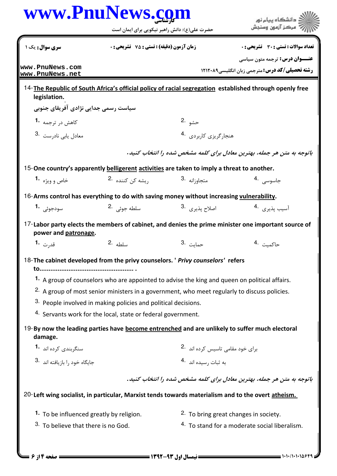|                                                                                                                                                | حضرت علی(ع): دانش راهبر نیکویی برای ایمان است                  |                                                                                                         | مركز آزمون وسنجش                                                                                                           |
|------------------------------------------------------------------------------------------------------------------------------------------------|----------------------------------------------------------------|---------------------------------------------------------------------------------------------------------|----------------------------------------------------------------------------------------------------------------------------|
| سری سوال: یک ۱                                                                                                                                 | <b>زمان آزمون (دقیقه) : تستی : 75 ٪ تشریحی : 0</b>             |                                                                                                         | تعداد سوالات : تستى : 30 قشريحى : 0                                                                                        |
| www.PnuNews.com<br>www.PnuNews.net                                                                                                             |                                                                |                                                                                                         | <b>عنـــوان درس:</b> ترجمه متون سیاسی<br><b>رشته تحصیلی/کد درس:</b> مترجمی زبان انگلیسی1۲۱۲۰۸۹                             |
| legislation.                                                                                                                                   |                                                                |                                                                                                         | 14-The Republic of South Africa's official policy of racial segregation established through openly free                    |
| سیاست رسمی جدایی نژادی آفریقای جنوبی                                                                                                           |                                                                |                                                                                                         |                                                                                                                            |
| کاهش در ترجمه <b>1</b> ۰                                                                                                                       |                                                                | حشو .2                                                                                                  |                                                                                                                            |
| 3. معادل يابي نادرست 3.                                                                                                                        |                                                                | هنجارگریزی کاربردی 4.                                                                                   |                                                                                                                            |
|                                                                                                                                                |                                                                |                                                                                                         | باتوجه به متن هر جمله، بهترین معادل برای کلمه مشخص شده را انتخاب کنید.                                                     |
| 15-One country's apparently belligerent activities are taken to imply a threat to another.                                                     |                                                                |                                                                                                         |                                                                                                                            |
| خاص و ويژه <b>1</b> ۰                                                                                                                          | ریشه کن کننده <sup>.2</sup>                                    | متجاو <sub>ز</sub> انه <sup>3</sup> ۰                                                                   | جاسوسى .4                                                                                                                  |
| 16-Arms control has everything to do with saving money without increasing vulnerability.                                                       |                                                                |                                                                                                         |                                                                                                                            |
| سودجوئے 1.                                                                                                                                     | سلطه جوئی 2.                                                   | اصلاح پذيري. <sup>3</sup> ۰                                                                             | آسيب يذيري 4.                                                                                                              |
| power and patronage.                                                                                                                           |                                                                |                                                                                                         | 17-Labor party elects the members of cabinet, and denies the prime minister one important source of                        |
| قد <sub>رت</sub> 1.                                                                                                                            | سلطه 2.                                                        | 3. حمايت                                                                                                | حاكمىت 4.                                                                                                                  |
| 18-The cabinet developed from the privy counselors. ' Privy counselors' refers                                                                 |                                                                |                                                                                                         |                                                                                                                            |
|                                                                                                                                                |                                                                | 1. A group of counselors who are appointed to advise the king and queen on political affairs.           |                                                                                                                            |
|                                                                                                                                                |                                                                | <sup>2.</sup> A group of most senior ministers in a government, who meet regularly to discuss policies. |                                                                                                                            |
|                                                                                                                                                | 3. People involved in making policies and political decisions. |                                                                                                         |                                                                                                                            |
|                                                                                                                                                | 4. Servants work for the local, state or federal government.   |                                                                                                         |                                                                                                                            |
| 19-By now the leading parties have become entrenched and are unlikely to suffer much electoral<br>damage.                                      |                                                                |                                                                                                         |                                                                                                                            |
| سنگربندی کرده اند 1.                                                                                                                           |                                                                | برای خود مقامی تاسیس کرده اند 2.                                                                        |                                                                                                                            |
|                                                                                                                                                |                                                                | به ثبات رسيده اند 4.                                                                                    |                                                                                                                            |
| .<br>جایگاه خود ,ا بازیافته اند   3۰                                                                                                           |                                                                |                                                                                                         |                                                                                                                            |
|                                                                                                                                                |                                                                |                                                                                                         |                                                                                                                            |
|                                                                                                                                                |                                                                |                                                                                                         |                                                                                                                            |
| 20-Left wing socialist, in particular, Marxist tends towards materialism and to the overt atheism.<br>1. To be influenced greatly by religion. |                                                                |                                                                                                         | باتوجه به متن هر جمله، بهترین معادل برای کلمه مشخص شده را انتخاب کنید.<br><sup>2.</sup> To bring great changes in society. |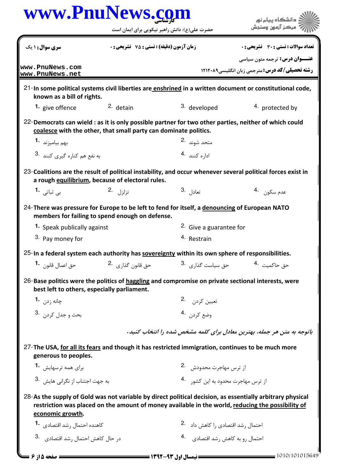| <b>سری سوال :</b> ۱ یک                                                                                                                            |                                                                  | حضرت علی(ع): دانش راهبر نیکویی برای ایمان است     |                                                                                                                                                                                                                |
|---------------------------------------------------------------------------------------------------------------------------------------------------|------------------------------------------------------------------|---------------------------------------------------|----------------------------------------------------------------------------------------------------------------------------------------------------------------------------------------------------------------|
|                                                                                                                                                   |                                                                  |                                                   |                                                                                                                                                                                                                |
|                                                                                                                                                   | <b>زمان آزمون (دقیقه) : تستی : 75 ٪ تشریحی : 0</b>               |                                                   | تعداد سوالات : تستى : 30 ٪ تشريحي : 0<br><b>عنـــوان درس:</b> ترجمه متون سیاسی                                                                                                                                 |
| www.PnuNews.com<br>www.PnuNews.net                                                                                                                |                                                                  |                                                   | <b>رشته تحصیلی/کد درس: مترجمی زبان انگلیسی1۲۱۲۰۸۹</b>                                                                                                                                                          |
| known as a bill of rights.                                                                                                                        |                                                                  |                                                   | 21-In some political systems civil liberties are enshrined in a written document or constitutional code,                                                                                                       |
| 1. give offence                                                                                                                                   | 2. detain                                                        | 3. developed                                      | 4. protected by                                                                                                                                                                                                |
| 22-Democrats can wield : as it is only possible partner for two other parties, neither of which could                                             | coalesce with the other, that small party can dominate politics. |                                                   |                                                                                                                                                                                                                |
| بهم بياميزند <sup>-1</sup>                                                                                                                        |                                                                  | متحد شوند۔2                                       |                                                                                                                                                                                                                |
| به نفع هم كناره گيرى كنند 3.                                                                                                                      |                                                                  | ادا <sub>ره</sub> کنند 4.                         |                                                                                                                                                                                                                |
|                                                                                                                                                   | a rough equilibrium, because of electoral rules.                 |                                                   | 23-Coalitions are the result of political instability, and occur whenever several political forces exist in                                                                                                    |
| بی ثباتی <b>1</b> ۰                                                                                                                               | تزلزل .2                                                         | 3. تعادل <sup>3</sup>                             | عدم سكون 4.                                                                                                                                                                                                    |
| 24-There was pressure for Europe to be left to fend for itself, a denouncing of European NATO                                                     | members for failing to spend enough on defense.                  |                                                   |                                                                                                                                                                                                                |
| <b>1.</b> Speak publically against                                                                                                                |                                                                  | <sup>2.</sup> Give a guarantee for                |                                                                                                                                                                                                                |
| 3. Pay money for                                                                                                                                  |                                                                  | <sup>4.</sup> Restrain                            |                                                                                                                                                                                                                |
| 25-In a federal system each authority has sovereignty within its own sphere of responsibilities.                                                  |                                                                  |                                                   |                                                                                                                                                                                                                |
| حق اعمال قانون <b>1</b>                                                                                                                           | حق قانون گذاري <sup>.2</sup>                                     | حق سیاست گذا <sub>د</sub> ی <sup>.3</sup>         | حق حاكميت .4                                                                                                                                                                                                   |
| 26-Base politics were the politics of haggling and compromise on private sectional interests, were<br>best left to others, especially parliament. |                                                                  |                                                   |                                                                                                                                                                                                                |
| چانه <sub>ز</sub> د <sub>ن</sub> <b>1.</b>                                                                                                        |                                                                  | تعيين كردن 2.                                     |                                                                                                                                                                                                                |
| بحث و جدل کردن . <sup>3</sup>                                                                                                                     |                                                                  | وضع كردن .4                                       |                                                                                                                                                                                                                |
|                                                                                                                                                   |                                                                  |                                                   | باتوجه به متن هر جمله، بهترین معادل برای کلمه مشخص شده را انتخاب کنید.                                                                                                                                         |
| 27-The USA, for all its fears and though it has restricted immigration, continues to be much more<br>generous to peoples.                         |                                                                  |                                                   |                                                                                                                                                                                                                |
| برای همه ترسهایش <sup>-1</sup>                                                                                                                    |                                                                  | از ترس مهاجرت محدودش 2.                           |                                                                                                                                                                                                                |
| به جهت اجتناب از نگرانی هایش . <sup>3</sup>                                                                                                       |                                                                  | از ترس مهاجرت محدود به این کشور <sup>4</sup> ۰    |                                                                                                                                                                                                                |
| economic growth.                                                                                                                                  |                                                                  |                                                   | 28-As the supply of Gold was not variable by direct political decision, as essentially arbitrary physical<br>restriction was placed on the amount of money available in the world, reducing the possibility of |
| کاهنده احتمال ,شد اقتصادی <b>۱۰</b>                                                                                                               |                                                                  | احتمال رشد اقتصادی ,ا کاهش داد   .2               |                                                                                                                                                                                                                |
| در حال كاهش احتمال رشد اقتصادي. <sup>3</sup> ۰                                                                                                    |                                                                  | احتمال <sub>د</sub> و به کاهش , شد اقتصادی     .4 |                                                                                                                                                                                                                |

**= صفحه 5 از 6 ـــا** 

 $= 1010/101015649$